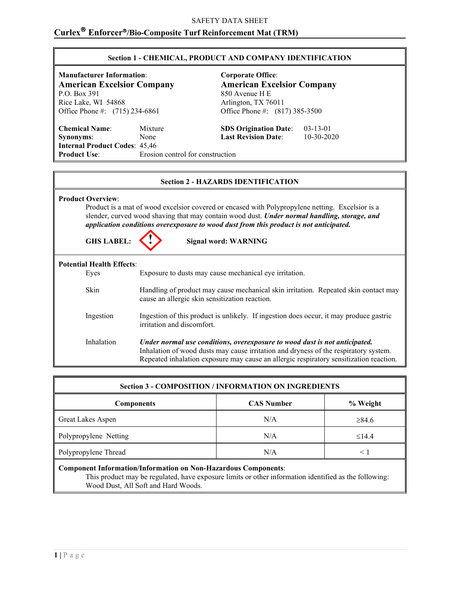### SAFETY DATA SHEET

### **Curlex Enforcer/Bio-Composite Turf Reinforcement Mat (TRM)**

| <b>Section 1 - CHEMICAL, PRODUCT AND COMPANY IDENTIFICATION</b> |
|-----------------------------------------------------------------|
|-----------------------------------------------------------------|

**Manufacturer Information**: **Corporate Office**: **American Excelsior Company**<br> **American Excelsior Company**<br>  $850$  Avenue H E

Rice Lake, WI 54868<br>Office Phone #: (715) 234-6861

**Chemical Name**: Mixture **SDS Origination Date**: 03-13-01 **Synonyms**: None **Last Revision Date**: 10-30-2020 **Internal Product Codes: 45,46<br>Product Use:** Erosic **Erosion control for construction** 

850 Avenue H E<br>Arlington, TX 76011 Office Phone #:  $(817) 385-3500$ 

| <b>Section 2 - HAZARDS IDENTIFICATION</b>     |                                                                                                                                                                                                                                                                                                                           |  |
|-----------------------------------------------|---------------------------------------------------------------------------------------------------------------------------------------------------------------------------------------------------------------------------------------------------------------------------------------------------------------------------|--|
| <b>Product Overview:</b><br><b>GHS LABEL:</b> | Product is a mat of wood excelsior covered or encased with Polypropylene netting. Excelsior is a<br>slender, curved wood shaving that may contain wood dust. Under normal handling, storage, and<br>application conditions overexposure to wood dust from this product is not anticipated.<br><b>Signal word: WARNING</b> |  |
| <b>Potential Health Effects:</b>              |                                                                                                                                                                                                                                                                                                                           |  |
| Eyes                                          | Exposure to dusts may cause mechanical eye irritation.                                                                                                                                                                                                                                                                    |  |
| <b>Skin</b>                                   | Handling of product may cause mechanical skin irritation. Repeated skin contact may<br>cause an allergic skin sensitization reaction.                                                                                                                                                                                     |  |
| Ingestion                                     | Ingestion of this product is unlikely. If ingestion does occur, it may produce gastric<br>irritation and discomfort.                                                                                                                                                                                                      |  |
| Inhalation                                    | Under normal use conditions, overexposure to wood dust is not anticipated.<br>Inhalation of wood dusts may cause irritation and dryness of the respiratory system.<br>Repeated inhalation exposure may cause an allergic respiratory sensitization reaction.                                                              |  |

| <b>Section 3 - COMPOSITION / INFORMATION ON INGREDIENTS</b>    |                   |             |
|----------------------------------------------------------------|-------------------|-------------|
| <b>Components</b>                                              | <b>CAS Number</b> | % Weight    |
| Great Lakes Aspen                                              | N/A               | $\geq 84.6$ |
| Polypropylene Netting                                          | N/A               | $\leq$ 14.4 |
| Polypropylene Thread                                           | N/A               | $\leq$ 1    |
| Component Information/Information on Non-Hazardous Components: |                   |             |

This product may be regulated, have exposure limits or other information identified as the following: Wood Dust, All Soft and Hard Woods.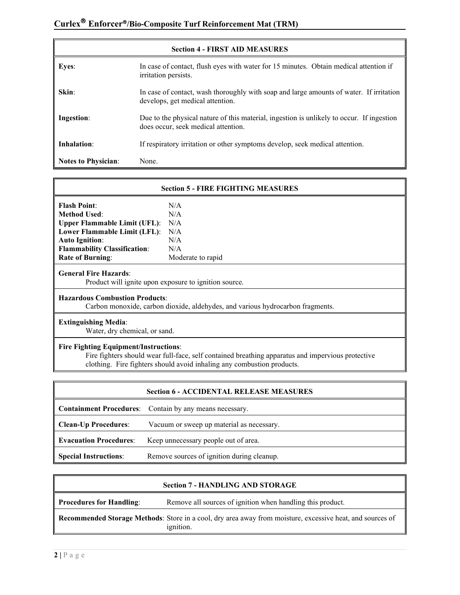| <b>Section 4 - FIRST AID MEASURES</b> |                                                                                                                                  |  |
|---------------------------------------|----------------------------------------------------------------------------------------------------------------------------------|--|
| Eyes:                                 | In case of contact, flush eyes with water for 15 minutes. Obtain medical attention if<br>irritation persists.                    |  |
| Skin:                                 | In case of contact, wash thoroughly with soap and large amounts of water. If irritation<br>develops, get medical attention.      |  |
| Ingestion:                            | Due to the physical nature of this material, ingestion is unlikely to occur. If ingestion<br>does occur, seek medical attention. |  |
| Inhalation:                           | If respiratory irritation or other symptoms develop, seek medical attention.                                                     |  |
| <b>Notes to Physician:</b>            | None.                                                                                                                            |  |

| <b>Section 5 - FIRE FIGHTING MEASURES</b>                                                                                                         |                   |  |
|---------------------------------------------------------------------------------------------------------------------------------------------------|-------------------|--|
| <b>Flash Point:</b>                                                                                                                               | N/A               |  |
| <b>Method Used:</b>                                                                                                                               | N/A               |  |
| <b>Upper Flammable Limit (UFL):</b>                                                                                                               | N/A               |  |
| Lower Flammable Limit (LFL):                                                                                                                      | N/A               |  |
| <b>Auto Ignition:</b>                                                                                                                             | N/A               |  |
| <b>Flammability Classification:</b>                                                                                                               | N/A               |  |
| <b>Rate of Burning:</b>                                                                                                                           | Moderate to rapid |  |
| <b>General Fire Hazards:</b><br>Product will ignite upon exposure to ignition source.                                                             |                   |  |
| <b>Hazardous Combustion Products:</b><br>Carbon monoxide, carbon dioxide, aldehydes, and various hydrocarbon fragments.                           |                   |  |
| <b>Extinguishing Media:</b><br>Water, dry chemical, or sand.                                                                                      |                   |  |
| <b>Fire Fighting Equipment/Instructions:</b><br>Fire fighters should wear full-face, self contained breathing apparatus and impervious protective |                   |  |
| clothing. Fire fighters should avoid inhaling any combustion products.                                                                            |                   |  |

|                               | <b>Section 6 - ACCIDENTAL RELEASE MEASURES</b>                 |
|-------------------------------|----------------------------------------------------------------|
|                               | <b>Containment Procedures:</b> Contain by any means necessary. |
| <b>Clean-Up Procedures:</b>   | Vacuum or sweep up material as necessary.                      |
| <b>Evacuation Procedures:</b> | Keep unnecessary people out of area.                           |
| <b>Special Instructions:</b>  | Remove sources of ignition during cleanup.                     |

| <b>Section 7 - HANDLING AND STORAGE</b>                                                                                       |                                                            |
|-------------------------------------------------------------------------------------------------------------------------------|------------------------------------------------------------|
| Procedures for Handling:                                                                                                      | Remove all sources of ignition when handling this product. |
| Recommended Storage Methods: Store in a cool, dry area away from moisture, excessive heat, and sources of<br><i>ignition.</i> |                                                            |

 $\mathbf{r}$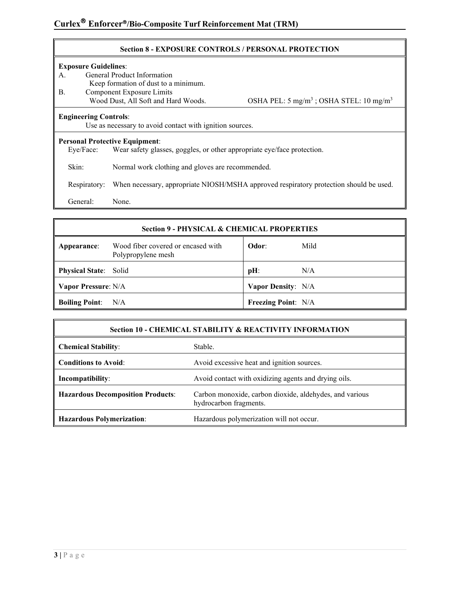#### **Section 8 - EXPOSURE CONTROLS / PERSONAL PROTECTION**

#### **Exposure Guidelines**:

- A. General Product Information
	- Keep formation of dust to a minimum.
- B. Component Exposure Limits<br>Wood Dust, All Soft and Hard Woods.

OSHA PEL:  $5 \text{ mg/m}^3$ ; OSHA STEL:  $10 \text{ mg/m}^3$ 

#### **Engineering Controls**:

Use as necessary to avoid contact with ignition sources.

# **Personal Protective Equipment:**<br>Eye/Face: Wear safety glas

Wear safety glasses, goggles, or other appropriate eye/face protection.

Skin: Normal work clothing and gloves are recommended.

Respiratory: When necessary, appropriate NIOSH/MSHA approved respiratory protection should be used.

General: None.

#### **Section 9 - PHYSICAL & CHEMICAL PROPERTIES**

| Appearance:                  | Wood fiber covered or encased with<br>Polypropylene mesh | Odor:                      | Mild |
|------------------------------|----------------------------------------------------------|----------------------------|------|
| <b>Physical State:</b> Solid |                                                          | $pH$ :                     | N/A  |
| Vapor Pressure: N/A          |                                                          | <b>Vapor Density:</b> N/A  |      |
| <b>Boiling Point:</b> N/A    |                                                          | <b>Freezing Point: N/A</b> |      |

| Section 10 - CHEMICAL STABILITY & REACTIVITY INFORMATION |                                                                                   |  |
|----------------------------------------------------------|-----------------------------------------------------------------------------------|--|
| <b>Chemical Stability:</b>                               | Stable.                                                                           |  |
| <b>Conditions to Avoid:</b>                              | Avoid excessive heat and ignition sources.                                        |  |
| Incompatibility:                                         | Avoid contact with oxidizing agents and drying oils.                              |  |
| <b>Hazardous Decomposition Products:</b>                 | Carbon monoxide, carbon dioxide, aldehydes, and various<br>hydrocarbon fragments. |  |
| <b>Hazardous Polymerization:</b>                         | Hazardous polymerization will not occur.                                          |  |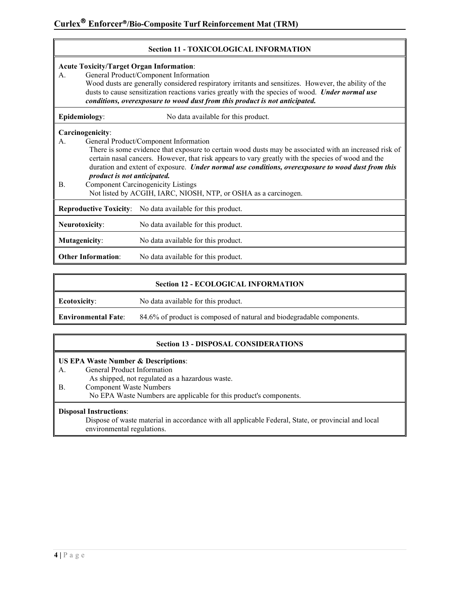| <b>Acute Toxicity/Target Organ Information:</b><br>General Product/Component Information<br>А.<br>Wood dusts are generally considered respiratory irritants and sensitizes. However, the ability of the<br>dusts to cause sensitization reactions varies greatly with the species of wood. Under normal use<br>conditions, overexposure to wood dust from this product is not anticipated. |                             |                                                                                                                                                                                                                                                                                                                                                                                                                                                                            |
|--------------------------------------------------------------------------------------------------------------------------------------------------------------------------------------------------------------------------------------------------------------------------------------------------------------------------------------------------------------------------------------------|-----------------------------|----------------------------------------------------------------------------------------------------------------------------------------------------------------------------------------------------------------------------------------------------------------------------------------------------------------------------------------------------------------------------------------------------------------------------------------------------------------------------|
| Epidemiology:                                                                                                                                                                                                                                                                                                                                                                              |                             | No data available for this product.                                                                                                                                                                                                                                                                                                                                                                                                                                        |
| Carcinogenicity:<br>А.<br>В.                                                                                                                                                                                                                                                                                                                                                               | product is not anticipated. | General Product/Component Information<br>There is some evidence that exposure to certain wood dusts may be associated with an increased risk of<br>certain nasal cancers. However, that risk appears to vary greatly with the species of wood and the<br>duration and extent of exposure. Under normal use conditions, overexposure to wood dust from this<br><b>Component Carcinogenicity Listings</b><br>Not listed by ACGIH, IARC, NIOSH, NTP, or OSHA as a carcinogen. |
|                                                                                                                                                                                                                                                                                                                                                                                            |                             | <b>Reproductive Toxicity:</b> No data available for this product.                                                                                                                                                                                                                                                                                                                                                                                                          |
| Neurotoxicity:                                                                                                                                                                                                                                                                                                                                                                             |                             | No data available for this product.                                                                                                                                                                                                                                                                                                                                                                                                                                        |
| <b>Mutagenicity:</b>                                                                                                                                                                                                                                                                                                                                                                       |                             | No data available for this product.                                                                                                                                                                                                                                                                                                                                                                                                                                        |
| <b>Other Information:</b>                                                                                                                                                                                                                                                                                                                                                                  |                             | No data available for this product.                                                                                                                                                                                                                                                                                                                                                                                                                                        |

| <b>Section 12 - ECOLOGICAL INFORMATION</b> |                                                                       |  |
|--------------------------------------------|-----------------------------------------------------------------------|--|
| <b>Ecotoxicity:</b>                        | No data available for this product.                                   |  |
| <b>Environmental Fate:</b>                 | 84.6% of product is composed of natural and biodegradable components. |  |

#### **Section 13 - DISPOSAL CONSIDERATIONS**

#### **US EPA Waste Number & Descriptions**:

A. General Product Information

As shipped, not regulated as a hazardous waste.

B. Component Waste Numbers

No EPA Waste Numbers are applicable for this product's components.

#### **Disposal Instructions**:

Dispose of waste material in accordance with all applicable Federal, State, or provincial and local environmental regulations.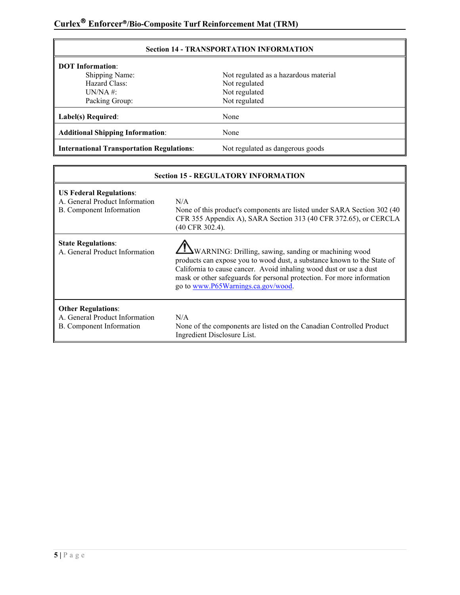| <b>Section 14 - TRANSPORTATION INFORMATION</b>                                       |                                       |  |
|--------------------------------------------------------------------------------------|---------------------------------------|--|
| <b>DOT</b> Information:                                                              |                                       |  |
| Shipping Name:                                                                       | Not regulated as a hazardous material |  |
| Hazard Class:                                                                        | Not regulated                         |  |
| $UN/NA$ #:                                                                           | Not regulated                         |  |
| Packing Group:                                                                       | Not regulated                         |  |
| Label(s) Required:                                                                   | None                                  |  |
| <b>Additional Shipping Information:</b>                                              | None                                  |  |
| Not regulated as dangerous goods<br><b>International Transportation Regulations:</b> |                                       |  |

| <b>Section 15 - REGULATORY INFORMATION</b>                                                   |                                                                                                                                                                                                                                                                                                                               |  |
|----------------------------------------------------------------------------------------------|-------------------------------------------------------------------------------------------------------------------------------------------------------------------------------------------------------------------------------------------------------------------------------------------------------------------------------|--|
| <b>US Federal Regulations:</b><br>A. General Product Information<br>B. Component Information | N/A<br>None of this product's components are listed under SARA Section 302 (40)<br>CFR 355 Appendix A), SARA Section 313 (40 CFR 372.65), or CERCLA<br>(40 CFR 302.4).                                                                                                                                                        |  |
| <b>State Regulations:</b><br>A. General Product Information                                  | <b>EVARNING:</b> Drilling, sawing, sanding or machining wood<br>products can expose you to wood dust, a substance known to the State of<br>California to cause cancer. Avoid inhaling wood dust or use a dust<br>mask or other safeguards for personal protection. For more information<br>go to www.P65Warnings.ca.gov/wood. |  |
| <b>Other Regulations:</b><br>A. General Product Information<br>B. Component Information      | N/A<br>None of the components are listed on the Canadian Controlled Product<br>Ingredient Disclosure List.                                                                                                                                                                                                                    |  |

# **5 |** Page